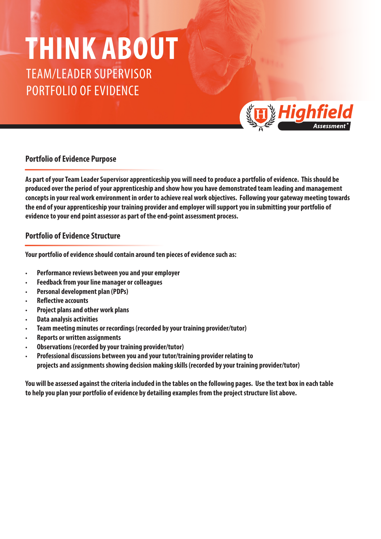## TEAM/LEADER SUPERVISOR **THINK ABOUT**

PORTFOLIO OF EVIDENCE



## **Portfolio of Evidence Purpose**

**As part of your Team Leader Supervisor apprenticeship you will need to produce a portfolio of evidence. This should be produced over the period of your apprenticeship and show how you have demonstrated team leading and management concepts in your real work environment in order to achieve real work objectives. Following your gateway meeting towards the end of your apprenticeship your training provider and employer will support you in submitting your portfolio of evidence to your end point assessor as part of the end-point assessment process.**

## **Portfolio of Evidence Structure**

**Your portfolio of evidence should contain around ten pieces of evidence such as:**

- **• Performance reviews between you and your employer**
- **• Feedback from your line manager or colleagues**
- **• Personal development plan (PDPs)**
- **• Reflective accounts**
- **• Project plans and other work plans**
- **• Data analysis activities**
- **• Team meeting minutes or recordings (recorded by your training provider/tutor)**
- **• Reports or written assignments**
- **• Observations (recorded by your training provider/tutor)**
- **• Professional discussions between you and your tutor/training provider relating to projects and assignments showing decision making skills (recorded by your training provider/tutor)**

**You will be assessed against the criteria included in the tables on the following pages. Use the text box in each table to help you plan your portfolio of evidence by detailing examples from the project structure list above.**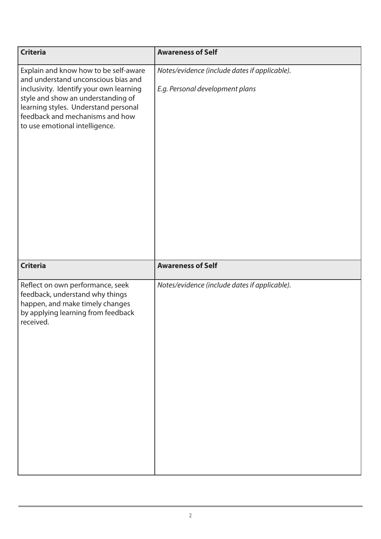| <b>Criteria</b>                                                                                                                                                                                                                                                            | <b>Awareness of Self</b>                                                         |
|----------------------------------------------------------------------------------------------------------------------------------------------------------------------------------------------------------------------------------------------------------------------------|----------------------------------------------------------------------------------|
| Explain and know how to be self-aware<br>and understand unconscious bias and<br>inclusivity. Identify your own learning<br>style and show an understanding of<br>learning styles. Understand personal<br>feedback and mechanisms and how<br>to use emotional intelligence. | Notes/evidence (include dates if applicable).<br>E.g. Personal development plans |
| <b>Criteria</b>                                                                                                                                                                                                                                                            | <b>Awareness of Self</b>                                                         |
| Reflect on own performance, seek<br>feedback, understand why things<br>happen, and make timely changes<br>by applying learning from feedback<br>received.                                                                                                                  | Notes/evidence (include dates if applicable).                                    |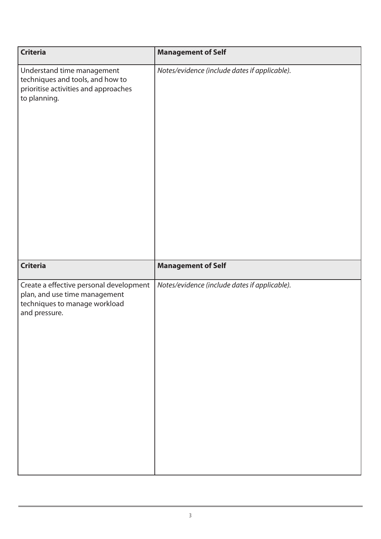| <b>Criteria</b>                                                                                                            | <b>Management of Self</b>                     |
|----------------------------------------------------------------------------------------------------------------------------|-----------------------------------------------|
| Understand time management<br>techniques and tools, and how to<br>prioritise activities and approaches<br>to planning.     | Notes/evidence (include dates if applicable). |
| <b>Criteria</b>                                                                                                            | <b>Management of Self</b>                     |
| Create a effective personal development<br>plan, and use time management<br>techniques to manage workload<br>and pressure. | Notes/evidence (include dates if applicable). |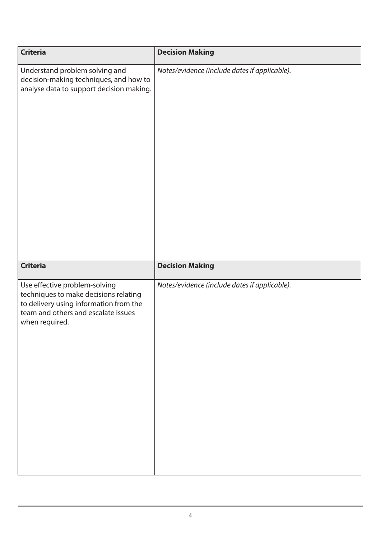| <b>Criteria</b>                                                                                                                                                           | <b>Decision Making</b>                        |
|---------------------------------------------------------------------------------------------------------------------------------------------------------------------------|-----------------------------------------------|
| Understand problem solving and<br>decision-making techniques, and how to<br>analyse data to support decision making.                                                      | Notes/evidence (include dates if applicable). |
| <b>Criteria</b>                                                                                                                                                           | <b>Decision Making</b>                        |
| Use effective problem-solving<br>techniques to make decisions relating<br>to delivery using information from the<br>team and others and escalate issues<br>when required. | Notes/evidence (include dates if applicable). |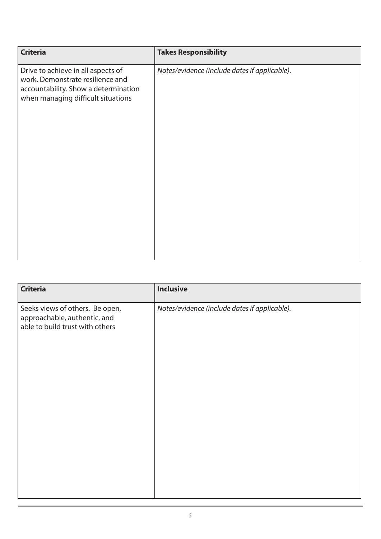| <b>Criteria</b>                                                                                                                                      | <b>Takes Responsibility</b>                   |
|------------------------------------------------------------------------------------------------------------------------------------------------------|-----------------------------------------------|
| Drive to achieve in all aspects of<br>work. Demonstrate resilience and<br>accountability. Show a determination<br>when managing difficult situations | Notes/evidence (include dates if applicable). |

| <b>Criteria</b>                                                                                    | <b>Inclusive</b>                              |
|----------------------------------------------------------------------------------------------------|-----------------------------------------------|
| Seeks views of others. Be open,<br>approachable, authentic, and<br>able to build trust with others | Notes/evidence (include dates if applicable). |